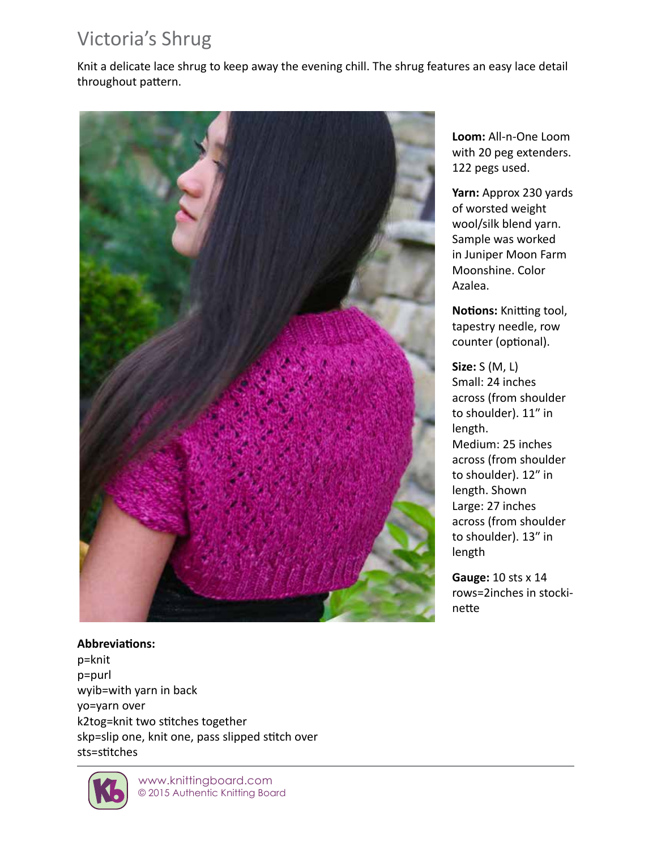# Victoria's Shrug

Knit a delicate lace shrug to keep away the evening chill. The shrug features an easy lace detail throughout pattern.



# **Loom:** All-n-One Loom with 20 peg extenders. 122 pegs used.

**Yarn:** Approx 230 yards of worsted weight wool/silk blend yarn. Sample was worked in Juniper Moon Farm Moonshine. Color Azalea.

**Notions:** Knitting tool, tapestry needle, row counter (optional).

**Size:**  $S$  (M, L) Small: 24 inches across (from shoulder to shoulder). 11" in length. Medium: 25 inches across (from shoulder to shoulder). 12" in length. Shown Large: 27 inches across (from shoulder to shoulder). 13" in length

**Gauge:** 10 sts x 14 rows=2inches in stockinette

#### Abbreviations:

p=knit p=purl wyib=with yarn in back yo=yarn over k2tog=knit two stitches together skp=slip one, knit one, pass slipped stitch over sts=stitches



www.knittingboard.com © 2015 Authentic Knitting Board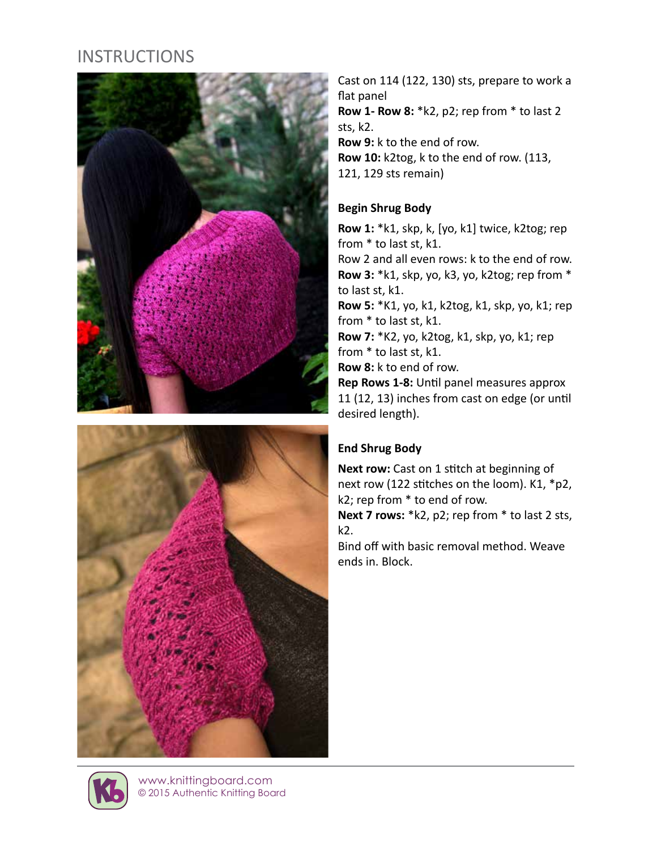# **INSTRUCTIONS**





Cast on 114 (122, 130) sts, prepare to work a flat panel **Row 1- Row 8:** \*k2, p2; rep from \* to last 2 sts. k2. **Row 9:** k to the end of row. **Row 10:** k2tog, k to the end of row. (113, 121, 129 sts remain)

#### **Begin Shrug Body**

**Row 1:** \*k1, skp, k, [yo, k1] twice, k2tog; rep from \* to last st, k1. Row 2 and all even rows: k to the end of row. **Row 3:** \*k1, skp, yo, k3, yo, k2tog; rep from \* to last st, k1. **Row 5: \*K1, yo, k1, k2tog, k1, skp, yo, k1; rep** from \* to last st, k1. **Row 7:** \*K2, yo, k2tog, k1, skp, yo, k1; rep from \* to last st, k1. **Row 8:** k to end of row. **Rep Rows 1-8:** Until panel measures approx 11 (12, 13) inches from cast on edge (or until desired length).

#### **End Shrug Body**

**Next row:** Cast on 1 stitch at beginning of next row (122 stitches on the loom). K1, \*p2, k2; rep from \* to end of row.

**Next 7 rows:** \*k2, p2; rep from \* to last 2 sts, k2.

Bind off with basic removal method. Weave ends in. Block.



www.knittingboard.com © 2015 Authentic Knitting Board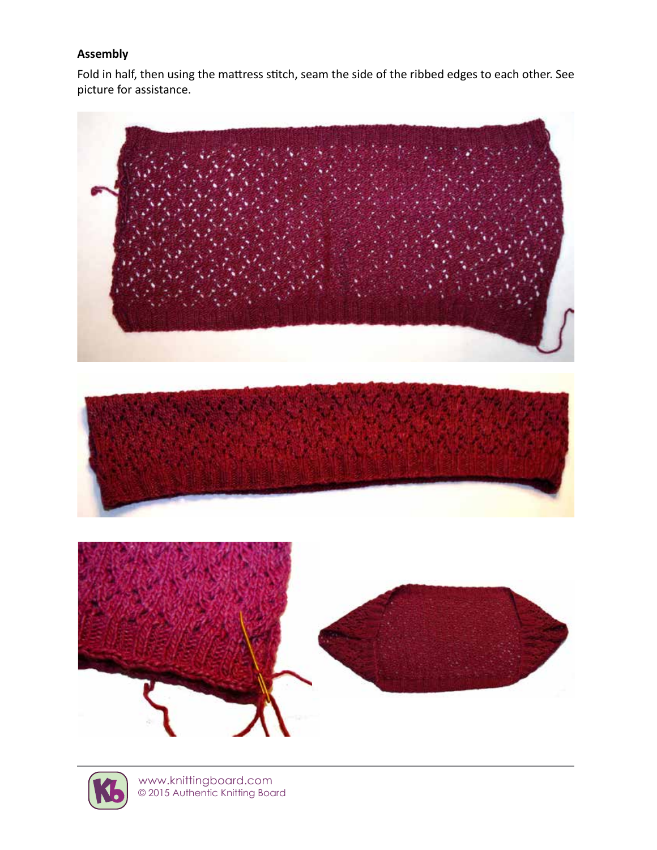### **Assembly**

Fold in half, then using the mattress stitch, seam the side of the ribbed edges to each other. See picture for assistance.





www.knittingboard.com<br>© 2015 Authentic Knitting Board